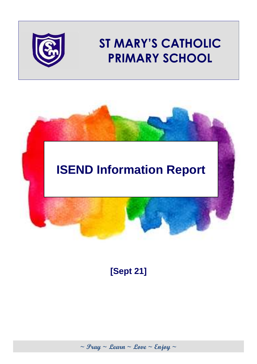

# **ST MARY'S CATHOLIC PRIMARY SCHOOL**



**[Sept 21]**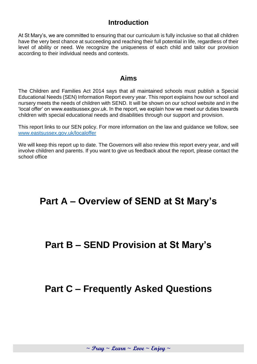## **Introduction**

At St Mary's, we are committed to ensuring that our curriculum is fully inclusive so that all children have the very best chance at succeeding and reaching their full potential in life, regardless of their level of ability or need. We recognize the uniqueness of each child and tailor our provision according to their individual needs and contexts.

### **Aims**

The Children and Families Act 2014 says that all maintained schools must publish a Special Educational Needs (SEN) Information Report every year. This report explains how our school and nursery meets the needs of children with SEND. It will be shown on our school website and in the 'local offer' on www.eastsussex.gov.uk. In the report, we explain how we meet our duties towards children with special educational needs and disabilities through our support and provision.

This report links to our SEN policy. For more information on the law and guidance we follow, see [www.eastsussex.gov.uk/localoffer](http://www.eastsussex.gov.uk/localoffer)

We will keep this report up to date. The Governors will also review this report every year, and will involve children and parents. If you want to give us feedback about the report, please contact the school office

## **Part A – Overview of SEND at St Mary's**

## **Part B – SEND Provision at St Mary's**

## **Part C – Frequently Asked Questions**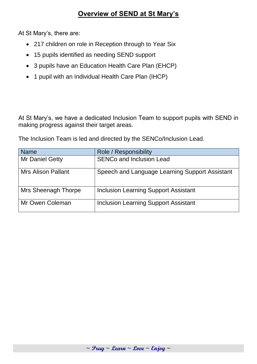## **Overview of SEND at St Mary's**

At St Mary's, there are:

- 217 children on role in Reception through to Year Six
- 15 pupils identified as needing SEND support
- 3 pupils have an Education Health Care Plan (EHCP)
- 1 pupil with an Individual Health Care Plan (IHCP)

At St Mary's, we have a dedicated Inclusion Team to support pupils with SEND in making progress against their target areas.

The Inclusion Team is led and directed by the SENCo/Inclusion Lead.

| <b>Name</b>               | Role / Responsibility                          |
|---------------------------|------------------------------------------------|
| <b>Mr Daniel Getty</b>    | <b>SENCo and Inclusion Lead</b>                |
| <b>Mrs Alison Pallant</b> | Speech and Language Learning Support Assistant |
| Mrs Sheenagh Thorpe       | <b>Inclusion Learning Support Assistant</b>    |
| Mr Owen Coleman           | <b>Inclusion Learning Support Assistant</b>    |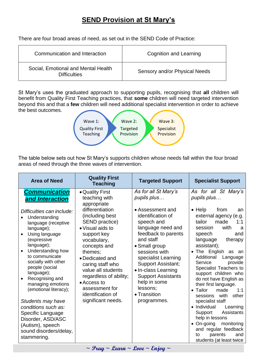## **SEND Provision at St Mary's**

There are four broad areas of need, as set out in the SEND Code of Practice:

| Communication and Interaction                              | Cognition and Learning        |
|------------------------------------------------------------|-------------------------------|
| Social, Emotional and Mental Health<br><b>Difficulties</b> | Sensory and/or Physical Needs |

St Mary's uses the graduated approach to supporting pupils, recognising that **all** children will benefit from Quality First Teaching practices, that **some** children will need targeted intervention beyond this and that a **few** children will need additional specialist intervention in order to achieve the best outcomes.



The table below sets out how St Mary's supports children whose needs fall within the four broad areas of need through the three waves of intervention.

| <b>Area of Need</b>                                                                                                                                                                                                                                                                                                                                                                                                                                                                                      | <b>Quality First</b><br><b>Teaching</b>                                                                                                                                                                                                                                                                                                                 | <b>Targeted Support</b>                                                                                                                                                                                                                                                                                                                           | <b>Specialist Support</b>                                                                                                                                                                                                                                                                                                                                                                                                                                                                                                                                                                                                                                       |
|----------------------------------------------------------------------------------------------------------------------------------------------------------------------------------------------------------------------------------------------------------------------------------------------------------------------------------------------------------------------------------------------------------------------------------------------------------------------------------------------------------|---------------------------------------------------------------------------------------------------------------------------------------------------------------------------------------------------------------------------------------------------------------------------------------------------------------------------------------------------------|---------------------------------------------------------------------------------------------------------------------------------------------------------------------------------------------------------------------------------------------------------------------------------------------------------------------------------------------------|-----------------------------------------------------------------------------------------------------------------------------------------------------------------------------------------------------------------------------------------------------------------------------------------------------------------------------------------------------------------------------------------------------------------------------------------------------------------------------------------------------------------------------------------------------------------------------------------------------------------------------------------------------------------|
| <b>Communication</b><br>and Interaction<br>Difficulties can include:<br>Understanding<br>language (receptive<br>language);<br>Using language<br>(expressive<br>language);<br>Understanding how<br>to communicate<br>socially with other<br>people (social<br>language);<br>Recognising and<br>$\bullet$<br>managing emotions<br>(emotional literacy);<br>Students may have<br>conditions such as:<br>Specific Language<br>Disorder, ASD/ASC<br>(Autism), speech<br>sound disorders/delay,<br>stammering. | • Quality First<br>teaching with<br>appropriate<br>differentiation<br>(including best<br>SEND practice)<br>• Visual aids to<br>support key<br>vocabulary,<br>concepts and<br>themes;<br>• Dedicated and<br>caring staff who<br>value all students<br>regardless of ability;<br>• Access to<br>assessment for<br>identification of<br>significant needs. | As for all St Mary's<br>pupils plus<br>• Assessment and<br>identification of<br>speech and<br>language need and<br>feedback to parents<br>and staff<br>• Small group<br>sessions with<br>specialist Learning<br>Support Assistant;<br>• In-class Learning<br><b>Support Assistants</b><br>help in some<br>lessons;<br>• Transition<br>programmes. | As for all St Mary's<br>pupils plus<br>$\bullet$ Help<br>from<br>an<br>external agency (e.g.<br>tailor<br>made<br>1:1<br>with<br>session<br>a<br>speech<br>and<br>language<br>therapy<br>assistant);<br>• The English<br>as<br>an<br>Additional<br>Language<br>provide<br>Service<br>Specialist Teachers to<br>support children who<br>do not have English as<br>their first language.<br>$\bullet$ Tailor<br>made<br>1:1<br>sessions with<br>other<br>specialist staff<br>· Individual<br>Learning<br>Assistants<br>Support<br>help in lessons<br>$\bullet$ On-going<br>monitoring<br>and regular feedback<br>to<br>parents<br>and<br>students (at least twice |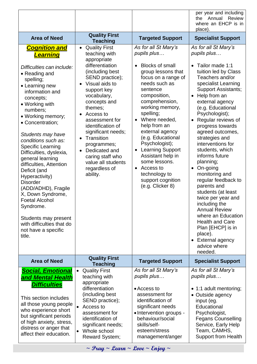|                                                                                                                                                                                                                                                                                                                                                                                                                                                          |                                                                                                                                                                                                                                                                                                                                                                                                                                                                          | per year and including<br>the Annual<br>Review<br>where an EHCP is in<br>place).                                                                                                                                                                                                                                                                                                                                                                                                                                                                                                                                                                                                                                      |
|----------------------------------------------------------------------------------------------------------------------------------------------------------------------------------------------------------------------------------------------------------------------------------------------------------------------------------------------------------------------------------------------------------------------------------------------------------|--------------------------------------------------------------------------------------------------------------------------------------------------------------------------------------------------------------------------------------------------------------------------------------------------------------------------------------------------------------------------------------------------------------------------------------------------------------------------|-----------------------------------------------------------------------------------------------------------------------------------------------------------------------------------------------------------------------------------------------------------------------------------------------------------------------------------------------------------------------------------------------------------------------------------------------------------------------------------------------------------------------------------------------------------------------------------------------------------------------------------------------------------------------------------------------------------------------|
| <b>Quality First</b><br><b>Teaching</b>                                                                                                                                                                                                                                                                                                                                                                                                                  | <b>Targeted Support</b>                                                                                                                                                                                                                                                                                                                                                                                                                                                  | <b>Specialist Support</b>                                                                                                                                                                                                                                                                                                                                                                                                                                                                                                                                                                                                                                                                                             |
| <b>Quality First</b><br>$\bullet$<br>teaching with<br>appropriate<br>differentiation<br>(including best<br>SEND practice);<br>Visual aids to<br>$\bullet$<br>support key<br>vocabulary,<br>concepts and<br>themes;<br>Access to<br>$\bullet$<br>assessment for<br>identification of<br>significant needs;<br>Transition<br>$\bullet$<br>programmes;<br>Dedicated and<br>$\bullet$<br>caring staff who<br>value all students<br>regardless of<br>ability. | pupils plus<br><b>Blocks of small</b><br>$\bullet$<br>group lessons that<br>focus on a range of<br>needs such as<br>sentence<br>composition,<br>comprehension,<br>working memory,<br>spelling;<br>Where needed,<br>$\bullet$<br>help from an<br>external agency<br>(e.g. Educational<br>Psychologist);<br><b>Learning Support</b><br>$\bullet$<br>Assistant help in<br>some lessons.<br>Access to<br>$\bullet$<br>technology to<br>support cognition<br>(e.g. Clicker 8) | As for all St Mary's<br>pupils plus<br>Tailor made 1:1<br>$\bullet$<br>tuition led by Class<br>Teachers and/or<br>specialist Learning<br><b>Support Assistants;</b><br>Help from an<br>$\bullet$<br>external agency<br>(e.g. Educational<br>Psychologist);<br>Regular reviews of<br>progress towards<br>agreed outcomes,<br>strategies and<br>interventions for<br>students, which<br>informs future<br>planning;<br>On-going<br>$\bullet$<br>monitoring and<br>regular feedback to<br>parents and<br>students (at least<br>twice per year and<br>including the<br><b>Annual Review</b><br>where an Education<br><b>Health and Care</b><br>Plan [EHCP] is in<br>place).<br>External agency<br>advice where<br>needed. |
| <b>Teaching</b>                                                                                                                                                                                                                                                                                                                                                                                                                                          | <b>Targeted Support</b>                                                                                                                                                                                                                                                                                                                                                                                                                                                  | <b>Specialist Support</b>                                                                                                                                                                                                                                                                                                                                                                                                                                                                                                                                                                                                                                                                                             |
| $\bullet$<br>teaching with<br>appropriate<br>differentiation<br>(including best<br>SEND practice);<br>Access to<br>$\bullet$<br>assessment for<br>identification of<br>significant needs;<br>Whole school                                                                                                                                                                                                                                                | pupils plus<br>• Access to<br>assessment for<br>identification of<br>significant needs<br>• Intervention groups -<br>behaviour/social<br>skills/self-<br>esteem/stress                                                                                                                                                                                                                                                                                                   | As for all St Mary's<br>pupils plus<br>• 1:1 adult mentoring;<br>Outside agency<br>input (eg.<br>Educational<br>Psychologist,<br><b>Fegans Counselling</b><br>Service, Early Help<br>Team, CAMHS,<br><b>Support from Health</b>                                                                                                                                                                                                                                                                                                                                                                                                                                                                                       |
|                                                                                                                                                                                                                                                                                                                                                                                                                                                          | <b>Quality First</b><br><b>Quality First</b><br>Reward System;                                                                                                                                                                                                                                                                                                                                                                                                           | As for all St Mary's<br>As for all St Mary's<br>management/anger                                                                                                                                                                                                                                                                                                                                                                                                                                                                                                                                                                                                                                                      |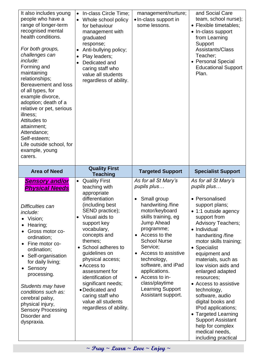| It also includes young<br>people who have a<br>range of longer-term<br>recognised mental<br>health conditions.<br>For both groups,<br>challenges can<br>include:<br>Forming and<br>maintaining<br>relationships;<br>Bereavement and loss<br>of all types, for<br>example divorce,<br>adoption; death of a<br>relative or pet, serious<br>illness;<br>Attitudes to<br>attainment;<br>Attendance;<br>Self-esteem;<br>Life outside school, for<br>example, young<br>carers. | In-class Circle Time;<br>$\bullet$<br>Whole school policy<br>for behaviour<br>management with<br>graduated<br>response;<br>Anti-bullying policy;<br>Play leaders;<br>Dedicated and<br>$\bullet$<br>caring staff who<br>value all students<br>regardless of ability.                                                                                                                                                                | management/nurture;<br>· In-class support in<br>some lessons.                                                                                                                                                                                                                                                                                                                                              | and Social Care<br>team, school nurse);<br>• Flexible timetables:<br>• In-class support<br>from Learning<br>Support<br>Assistants/Class<br>Teacher;<br>• Personal Special<br><b>Educational Support</b><br>Plan.                                                                                                                                                                                                                                                                                                                                  |
|--------------------------------------------------------------------------------------------------------------------------------------------------------------------------------------------------------------------------------------------------------------------------------------------------------------------------------------------------------------------------------------------------------------------------------------------------------------------------|------------------------------------------------------------------------------------------------------------------------------------------------------------------------------------------------------------------------------------------------------------------------------------------------------------------------------------------------------------------------------------------------------------------------------------|------------------------------------------------------------------------------------------------------------------------------------------------------------------------------------------------------------------------------------------------------------------------------------------------------------------------------------------------------------------------------------------------------------|---------------------------------------------------------------------------------------------------------------------------------------------------------------------------------------------------------------------------------------------------------------------------------------------------------------------------------------------------------------------------------------------------------------------------------------------------------------------------------------------------------------------------------------------------|
| <b>Area of Need</b>                                                                                                                                                                                                                                                                                                                                                                                                                                                      | <b>Quality First</b><br><b>Teaching</b>                                                                                                                                                                                                                                                                                                                                                                                            | <b>Targeted Support</b>                                                                                                                                                                                                                                                                                                                                                                                    | <b>Specialist Support</b>                                                                                                                                                                                                                                                                                                                                                                                                                                                                                                                         |
| <b>Sensory and/or</b><br><b>Physical Needs</b><br>Difficulties can<br>include:<br>• Vision;<br>Hearing;<br>Gross motor co-<br>ordination;<br>Fine motor co-<br>ordination;<br>Self-organisation<br>$\bullet$<br>for daily living;<br>Sensory<br>$\bullet$<br>processing.<br>Students may have<br>conditions such as:<br>cerebral palsy,<br>physical injury,<br><b>Sensory Processing</b><br>Disorder and<br>dyspraxia.                                                   | <b>Quality First</b><br>$\bullet$<br>teaching with<br>appropriate<br>differentiation<br>(including best<br>SEND practice);<br>Visual aids to<br>support key<br>vocabulary,<br>concepts and<br>themes;<br>School adheres to<br>quidelines on<br>physical access;<br>• Access to<br>assessment for<br>identification of<br>significant needs;<br>• Dedicated and<br>caring staff who<br>value all students<br>regardless of ability. | As for all St Mary's<br>pupils plus<br>• Small group<br>handwriting /fine<br>motor/keyboard<br>skills training, eg<br>Jump Ahead<br>programme;<br>Access to the<br>$\bullet$<br><b>School Nurse</b><br>Service:<br>Access to assistive<br>$\bullet$<br>technology,<br>software, and iPad<br>applications.<br>Access to in-<br>$\bullet$<br>class/playtime<br><b>Learning Support</b><br>Assistant support. | As for all St Mary's<br>pupils plus<br>• Personalised<br>support plans;<br>• 1:1 outside agency<br>support from<br><b>Advisory Teachers;</b><br>• Individual<br>handwriting /fine<br>motor skills training;<br>• Specialist<br>equipment and<br>materials, such as<br>low vision aids and<br>enlarged adapted<br>resources;<br>• Access to assistive<br>technology,<br>software, audio<br>digital books and<br>IPod applications;<br>• Targeted Learning<br><b>Support Assistant</b><br>help for complex<br>medical needs,<br>including practical |

**~ Pray ~ Learn ~ Love ~ Enjoy ~**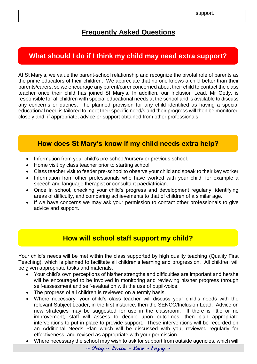## **Frequently Asked Questions**

## **What should I do if I think my child may need extra support?**

At St Mary's, we value the parent-school relationship and recognize the pivotal role of parents as the prime educators of their children. We appreciate that no one knows a child better than their parents/carers, so we encourage any parent/carer concerned about their child to contact the class teacher once their child has joined St Mary's. In addition, our Inclusion Lead, Mr Getty, is responsible for all children with special educational needs at the school and is available to discuss any concerns or queries. The planned provision for any child identified as having a special educational need is tailored to meet their specific need/s and their progress will then be monitored closely and, if appropriate, advice or support obtained from other professionals.

## **How does St Mary's know if my child needs extra help?**

- Information from your child's pre-school/nursery or previous school.
- Home visit by class teacher prior to starting school
- Class teacher visit to feeder pre-school to observe your child and speak to their key worker
- Information from other professionals who have worked with your child, for example a speech and language therapist or consultant paediatrician.
- Once in school, checking your child's progress and development regularly, identifying areas of difficulty, and comparing achievements to that of children of a similar age.
- If we have concerns we may ask your permission to contact other professionals to give advice and support.

## **How will school staff support my child?**

Your child's needs will be met within the class supported by high quality teaching (Quality First Teaching), which is planned to facilitate all children's learning and progression. All children will be given appropriate tasks and materials.

- Your child's own perceptions of his/her strengths and difficulties are important and he/she will be encouraged to be involved in monitoring and reviewing his/her progress through self-assessment and self-evaluation with the use of pupil-voice.
- The progress of all children is reviewed on a termly basis.
- Where necessary, your child's class teacher will discuss your child's needs with the relevant Subject Leader, in the first instance, then the SENCO/Inclusion Lead. Advice on new strategies may be suggested for use in the classroom. If there is little or no improvement, staff will assess to decide upon outcomes, then plan appropriate interventions to put in place to provide support. These interventions will be recorded on an Additional Needs Plan which will be discussed with you, reviewed regularly for effectiveness, and revised as appropriate with your permission.
- Where necessary the school may wish to ask for support from outside agencies, which will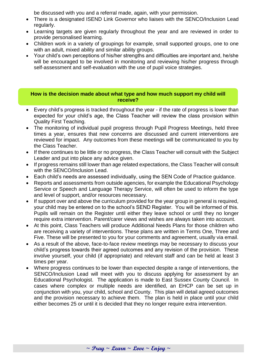be discussed with you and a referral made, again, with your permission.

- There is a designated ISEND Link Governor who liaises with the SENCO/Inclusion Lead regularly.
- Learning targets are given regularly throughout the year and are reviewed in order to provide personalised learning.
- Children work in a variety of groupings for example, small supported groups, one to one with an adult, mixed ability and similar ability groups.
- Your child's own perceptions of his/her strengths and difficulties are important and, he/she will be encouraged to be involved in monitoring and reviewing his/her progress through self-assessment and self-evaluation with the use of pupil voice strategies.

#### **How is the decision made about what type and how much support my child will receive?**

- Every child's progress is tracked throughout the year if the rate of progress is lower than expected for your child's age, the Class Teacher will review the class provision within Quality First Teaching.
- The monitoring of individual pupil progress through Pupil Progress Meetings, held three times a year, ensures that new concerns are discussed and current interventions are reviewed for impact. Any outcomes from these meetings will be communicated to you by the Class Teacher.
- If there continues to be little or no progress, the Class Teacher will consult with the Subject Leader and put into place any advice given.
- If progress remains still lower than age related expectations, the Class Teacher will consult with the SENCO/Inclusion Lead.
- Each child's needs are assessed individually, using the SEN Code of Practice guidance.
- Reports and assessments from outside agencies, for example the Educational Psychology Service or Speech and Language Therapy Service, will often be used to inform the type and level of support, and/or resources necessary.
- If support over and above the curriculum provided for the year group in general is required, your child may be entered on to the school's SEND Register. You will be informed of this. Pupils will remain on the Register until either they leave school or until they no longer require extra intervention. Parent/carer views and wishes are always taken into account.
- At this point, Class Teachers will produce Additional Needs Plans for those children who are receiving a variety of interventions. These plans are written in Terms One, Three and Five. These will be presented to you for your comments and agreement, usually via email.
- As a result of the above, face-to-face review meetings may be necessary to discuss your child's progress towards their agreed outcomes and any revision of the provision. These involve yourself, your child (if appropriate) and relevant staff and can be held at least 3 times per year.
- Where progress continues to be lower than expected despite a range of interventions, the SENCO/Inclusion Lead will meet with you to discuss applying for assessment by an Educational Psychologist. The application is made to East Sussex County Council. In cases where complex or multiple needs are identified, an EHCP can be set up in conjunction with you, your child, school and County. This plan will detail agreed outcomes and the provision necessary to achieve them. The plan is held in place until your child either becomes 25 or until it is decided that they no longer require extra intervention.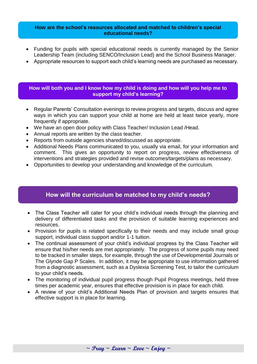#### **How are the school's resources allocated and matched to children's special educational needs?**

- Funding for pupils with special educational needs is currently managed by the Senior Leadership Team (including SENCO/Inclusion Lead) and the School Business Manager.
- Appropriate resources to support each child's learning needs are purchased as necessary.

#### **How will both you and I know how my child is doing and how will you help me to support my child's learning?**

- Regular Parents' Consultation evenings to review progress and targets, discuss and agree ways in which you can support your child at home are held at least twice yearly, more frequently if appropriate.
- We have an open door policy with Class Teacher/ Inclusion Lead /Head.
- Annual reports are written by the class teacher.
- Reports from outside agencies shared/discussed as appropriate.
- Additional Needs Plans communicated to you, usually via email, for your information and comment. This gives an opportunity to report on progress, review effectiveness of interventions and strategies provided and revise outcomes/targets/plans as necessary.
- Opportunities to develop your understanding and knowledge of the curriculum.

### **How will the curriculum be matched to my child's needs?**

- The Class Teacher will cater for your child's individual needs through the planning and delivery of differentiated tasks and the provision of suitable learning experiences and resources.
- Provision for pupils is related specifically to their needs and may include small group support, individual class support and/or 1-1 tuition.
- The continual assessment of your child's individual progress by the Class Teacher will ensure that his/her needs are met appropriately. The progress of some pupils may need to be tracked in smaller steps, for example, through the use of Developmental Journals or The Glynde Gap P Scales. In addition, it may be appropriate to use information gathered from a diagnostic assessment, such as a Dyslexia Screening Test, to tailor the curriculum to your child's needs.
- The monitoring of individual pupil progress though Pupil Progress meetings, held three times per academic year, ensures that effective provision is in place for each child.
- A review of your child's Additional Needs Plan of provision and targets ensures that effective support is in place for learning.

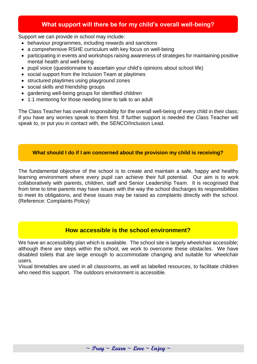## **What support will there be for my child's overall well-being?**

Support we can provide in school may include:

- behaviour programmes, including rewards and sanctions
- a comprehensive RSHE curriculum with key focus on well-being
- participating in events and workshops raising awareness of strategies for maintaining positive mental health and well-being
- pupil voice (questionnaire to ascertain your child's opinions about school life)
- social support from the Inclusion Team at playtimes
- structured playtimes using playground zones
- social skills and friendship groups
- gardening well-being groups for identified children
- 1:1 mentoring for those needing time to talk to an adult

The Class Teacher has overall responsibility for the overall well-being of every child in their class; if you have any worries speak to them first. If further support is needed the Class Teacher will speak to, or put you in contact with, the SENCO/Inclusion Lead.

#### **What should I do if I am concerned about the provision my child is receiving?**

The fundamental objective of the school is to create and maintain a safe, happy and healthy learning environment where every pupil can achieve their full potential. Our aim is to work collaboratively with parents, children, staff and Senior Leadership Team. It is recognised that from time to time parents may have issues with the way the school discharges its responsibilities to meet its obligations, and these issues may be raised as complaints directly with the school. (Reference: Complaints Policy)

#### **How accessible is the school environment?**

We have an accessibility plan which is available. The school site is largely wheelchair accessible; although there are steps within the school, we work to overcome these obstacles. We have disabled toilets that are large enough to accommodate changing and suitable for wheelchair users.

Visual timetables are used in all classrooms, as well as labelled resources, to facilitate children who need this support. The outdoors environment is accessible.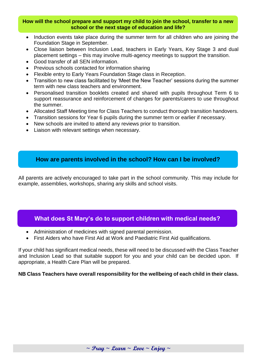#### **How will the school prepare and support my child to join the school, transfer to a new school or the next stage of education and life?**

- Induction events take place during the summer term for all children who are joining the Foundation Stage in September.
- Close liaison between Inclusion Lead, teachers in Early Years, Key Stage 3 and dual placement settings – this may involve multi-agency meetings to support the transition.
- Good transfer of all SEN information.
- Previous schools contacted for information sharing
- Flexible entry to Early Years Foundation Stage class in Reception.
- Transition to new class facilitated by 'Meet the New Teacher' sessions during the summer term with new class teachers and environment.
- Personalised transition booklets created and shared with pupils throughout Term 6 to support reassurance and reinforcement of changes for parents/carers to use throughout the summer.
- Allocated Staff Meeting time for Class Teachers to conduct thorough transition handovers.
- Transition sessions for Year 6 pupils during the summer term or earlier if necessary.
- New schools are invited to attend any reviews prior to transition.
- Liaison with relevant settings when necessary.

#### **How are parents involved in the school? How can I be involved?**

All parents are actively encouraged to take part in the school community. This may include for example, assemblies, workshops, sharing any skills and school visits.

#### **What does St Mary's do to support children with medical needs?**

- Administration of medicines with signed parental permission.
- First Aiders who have First Aid at Work and Paediatric First Aid qualifications.

If your child has significant medical needs, these will need to be discussed with the Class Teacher and Inclusion Lead so that suitable support for you and your child can be decided upon. If appropriate, a Health Care Plan will be prepared.

#### **NB Class Teachers have overall responsibility for the wellbeing of each child in their class.**